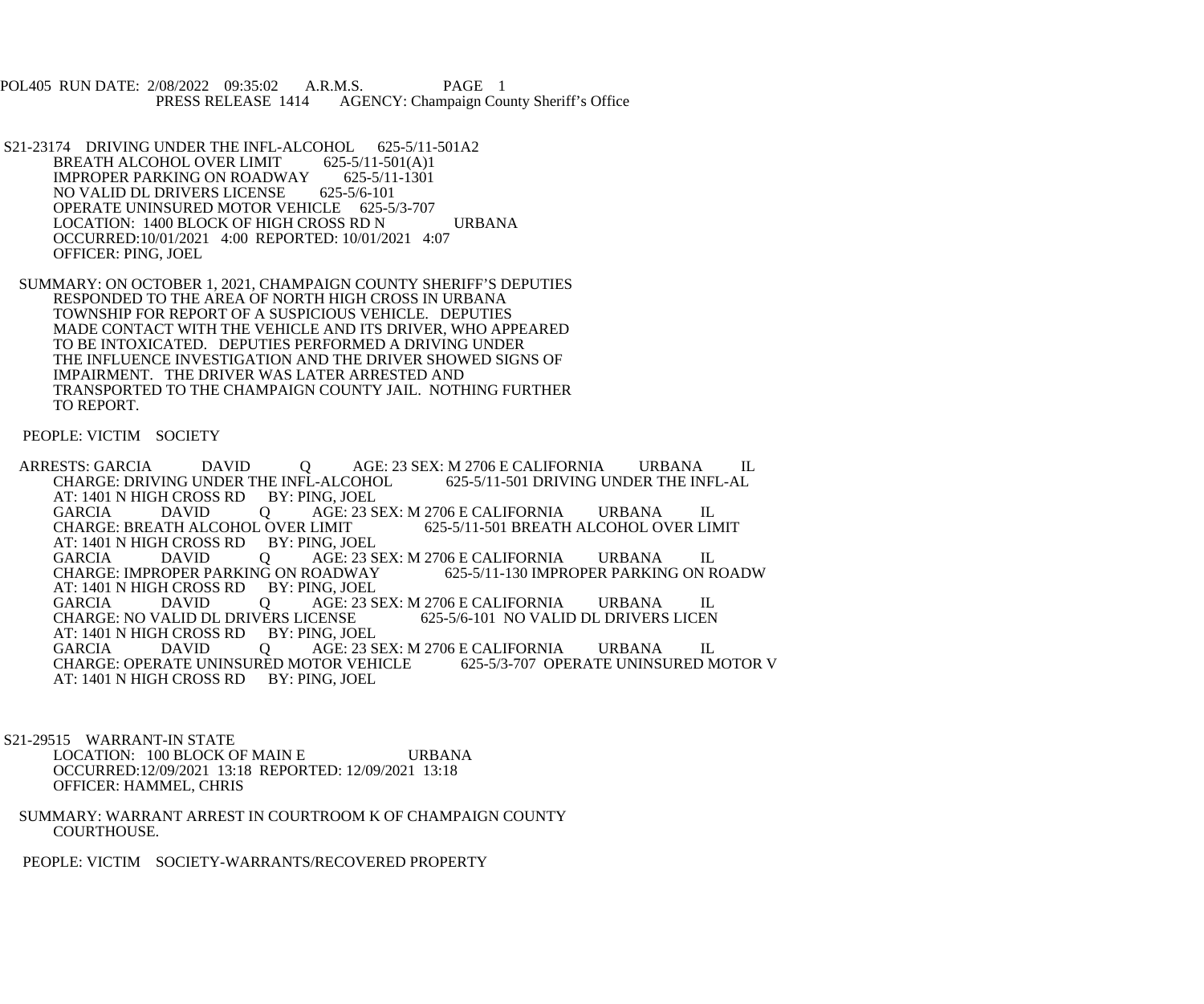POL405 RUN DATE: 2/08/2022 09:35:02 A.R.M.S. PAGE 1<br>PRESS RELEASE 1414 AGENCY: Champaign Cou AGENCY: Champaign County Sheriff's Office

- S21-23174 DRIVING UNDER THE INFL-ALCOHOL 625-5/11-501A2<br>BREATH ALCOHOL OVER LIMIT 625-5/11-501(A)1 BREATH ALCOHOL OVER LIMIT 625-5/11-501(A)1<br>IMPROPER PARKING ON ROADWAY 625-5/11-1301 IMPROPER PARKING ON ROADWAY 625-5/11<br>NO VALID DL DRIVERS LICENSE 625-5/6-101 NO VALID DL DRIVERS LICENSE OPERATE UNINSURED MOTOR VEHICLE 625-5/3-707 LOCATION: 1400 BLOCK OF HIGH CROSS RD N URBANA OCCURRED:10/01/2021 4:00 REPORTED: 10/01/2021 4:07 OFFICER: PING, JOEL
- SUMMARY: ON OCTOBER 1, 2021, CHAMPAIGN COUNTY SHERIFF'S DEPUTIES RESPONDED TO THE AREA OF NORTH HIGH CROSS IN URBANA TOWNSHIP FOR REPORT OF A SUSPICIOUS VEHICLE. DEPUTIES MADE CONTACT WITH THE VEHICLE AND ITS DRIVER, WHO APPEARED TO BE INTOXICATED. DEPUTIES PERFORMED A DRIVING UNDER THE INFLUENCE INVESTIGATION AND THE DRIVER SHOWED SIGNS OF IMPAIRMENT. THE DRIVER WAS LATER ARRESTED AND TRANSPORTED TO THE CHAMPAIGN COUNTY JAIL. NOTHING FURTHER TO REPORT.

PEOPLE: VICTIM SOCIETY

ARRESTS: GARCIA DAVID Q AGE: 23 SEX: M 2706 E CALIFORNIA URBANA IL CHARGE: DRIVING UNDER THE INFL-AL CHARGE: DRIVING UNDER THE INFL-ALCOHOL AT: 1401 N HIGH CROSS RD BY: PING, JOEL GARCIA DAVID Q AGE: 23 SEX: M 2706 E CALIFORNIA URBANA IL CHARGE: BREATH ALCOHOL OVER LIMIT 625-5/11-501 BREATH ALCOHOL OVER LIM CHARGE: BREATH ALCOHOL OVER LIMIT 625-5/11-501 BREATH ALCOHOL OVER LIMIT AT: 1401 N HIGH CROSS RD BY: PING, JOEL<br>GARCIA DAVID Q AGE: 23 S Q AGE: 23 SEX: M 2706 E CALIFORNIA URBANA IL<br>IG ON ROADWAY 625-5/11-130 IMPROPER PARKING ON ROADW CHARGE: IMPROPER PARKING ON ROADWAY AT: 1401 N HIGH CROSS RD BY: PING, JOEL GARCIA DAVID Q AGE: 23 SEX: M 2706 E CALIFORNIA URBANA IL CHARGE: NO VALID DL DRIVERS LICEN CHARGE: NO VALID DL DRIVERS LICENSE AT: 1401 N HIGH CROSS RD BY: PING, JOEL<br>GARCIA DAVID O AGE: 23 S DAVID Q AGE: 23 SEX: M 2706 E CALIFORNIA URBANA IL<br>RATE UNINSURED MOTOR VEHICLE 625-5/3-707 OPERATE UNINSURED MOTOR V CHARGE: OPERATE UNINSURED MOTOR VEHICLE AT: 1401 N HIGH CROSS RD BY: PING, JOEL

 S21-29515 WARRANT-IN STATE LOCATION: 100 BLOCK OF MAIN E URBANA OCCURRED:12/09/2021 13:18 REPORTED: 12/09/2021 13:18 OFFICER: HAMMEL, CHRIS

 SUMMARY: WARRANT ARREST IN COURTROOM K OF CHAMPAIGN COUNTY COURTHOUSE.

PEOPLE: VICTIM SOCIETY-WARRANTS/RECOVERED PROPERTY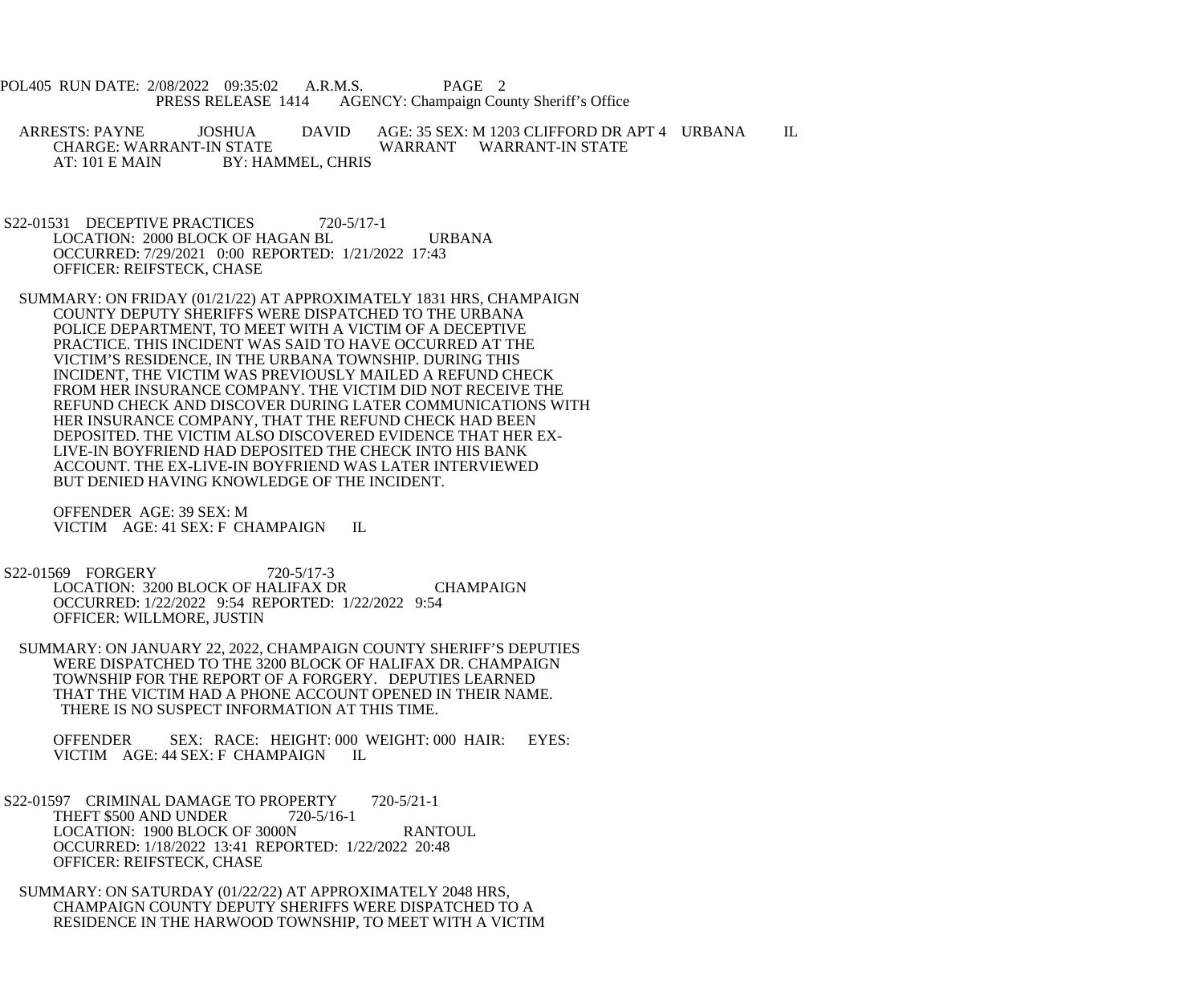POL405 RUN DATE: 2/08/2022 09:35:02 A.R.M.S. PAGE 2<br>PRESS RELEASE 1414 AGENCY: Champaign Cou AGENCY: Champaign County Sheriff's Office

ARRESTS: PAYNE JOSHUA DAVID AGE: 35 SEX: M 1203 CLIFFORD DR APT 4 URBANA IL CHARGE: WARRANT-IN STATE WARRANT WARRANT-IN STATE CHARGE: WARRANT-IN STATE WARRANT WARRANT-IN STATE<br>AT: 101 E MAIN BY: HAMMEL. CHRIS BY: HAMMEL, CHRIS

S22-01531 DECEPTIVE PRACTICES 720-5/17-1 LOCATION: 2000 BLOCK OF HAGAN BL URBANA OCCURRED: 7/29/2021 0:00 REPORTED: 1/21/2022 17:43 OFFICER: REIFSTECK, CHASE

 SUMMARY: ON FRIDAY (01/21/22) AT APPROXIMATELY 1831 HRS, CHAMPAIGN COUNTY DEPUTY SHERIFFS WERE DISPATCHED TO THE URBANA POLICE DEPARTMENT, TO MEET WITH A VICTIM OF A DECEPTIVE PRACTICE. THIS INCIDENT WAS SAID TO HAVE OCCURRED AT THE VICTIM'S RESIDENCE, IN THE URBANA TOWNSHIP. DURING THIS INCIDENT, THE VICTIM WAS PREVIOUSLY MAILED A REFUND CHECK FROM HER INSURANCE COMPANY. THE VICTIM DID NOT RECEIVE THE REFUND CHECK AND DISCOVER DURING LATER COMMUNICATIONS WITH HER INSURANCE COMPANY, THAT THE REFUND CHECK HAD BEEN DEPOSITED. THE VICTIM ALSO DISCOVERED EVIDENCE THAT HER EX- LIVE-IN BOYFRIEND HAD DEPOSITED THE CHECK INTO HIS BANK ACCOUNT. THE EX-LIVE-IN BOYFRIEND WAS LATER INTERVIEWED BUT DENIED HAVING KNOWLEDGE OF THE INCIDENT.

 OFFENDER AGE: 39 SEX: M VICTIM AGE: 41 SEX: F CHAMPAIGN IL

 S22-01569 FORGERY 720-5/17-3 LOCATION: 3200 BLOCK OF HALIFAX DR CHAMPAIGN OCCURRED: 1/22/2022 9:54 REPORTED: 1/22/2022 9:54 OFFICER: WILLMORE, JUSTIN

 SUMMARY: ON JANUARY 22, 2022, CHAMPAIGN COUNTY SHERIFF'S DEPUTIES WERE DISPATCHED TO THE 3200 BLOCK OF HALIFAX DR. CHAMPAIGN TOWNSHIP FOR THE REPORT OF A FORGERY. DEPUTIES LEARNED THAT THE VICTIM HAD A PHONE ACCOUNT OPENED IN THEIR NAME. THERE IS NO SUSPECT INFORMATION AT THIS TIME.

 OFFENDER SEX: RACE: HEIGHT: 000 WEIGHT: 000 HAIR: EYES: VICTIM AGE: 44 SEX: F CHAMPAIGN IL

- S22-01597 CRIMINAL DAMAGE TO PROPERTY 720-5/21-1 THEFT \$500 AND UNDER 720-5/16-1 LOCATION: 1900 BLOCK OF 3000N RANTOUL OCCURRED: 1/18/2022 13:41 REPORTED: 1/22/2022 20:48 OFFICER: REIFSTECK, CHASE
- SUMMARY: ON SATURDAY (01/22/22) AT APPROXIMATELY 2048 HRS, CHAMPAIGN COUNTY DEPUTY SHERIFFS WERE DISPATCHED TO A RESIDENCE IN THE HARWOOD TOWNSHIP, TO MEET WITH A VICTIM